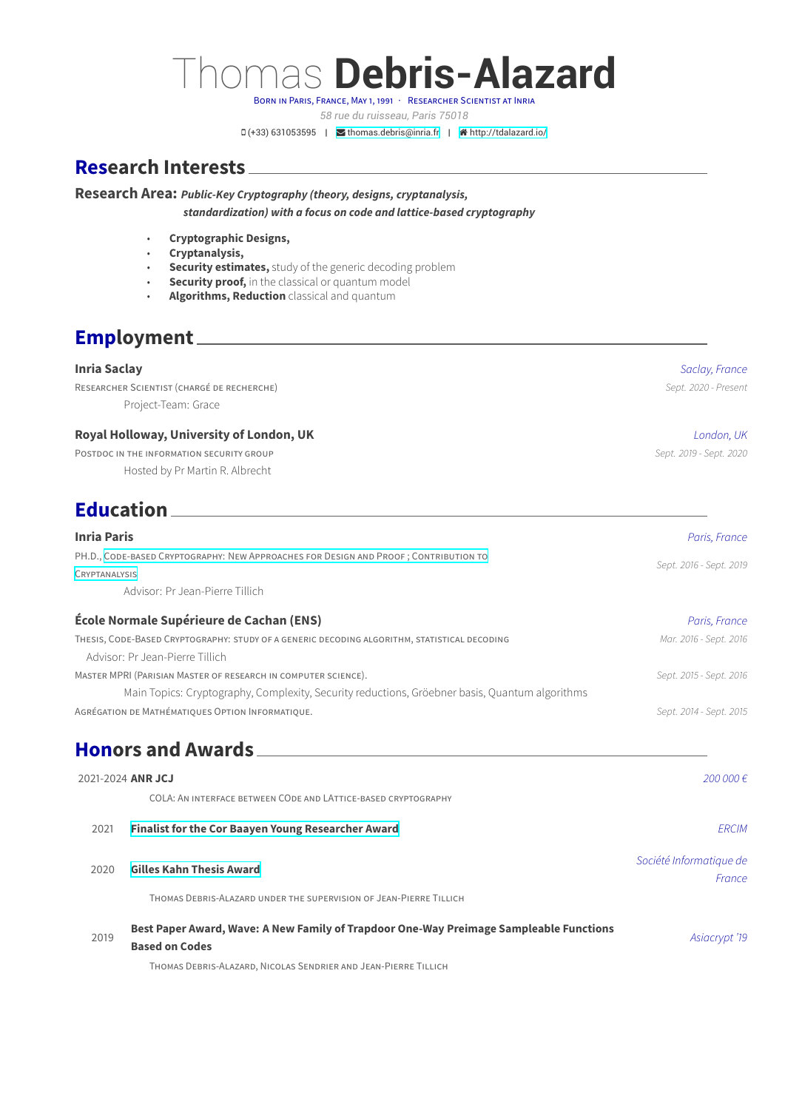Thomas **Debris-Alazard**

BORN IN PARIS, FRANCE, MAY 1, 1991 · RESEARCHER SCIENTIST AT INRIA

*58 rue du ruisseau, Paris 75018*

 $\Box$  (+33) 631053595 |  $\Box$  thomas.debris@inria.fr |  $\triangle$  http://tdalazard.io/

## **Research Interests**

**Research Area:** *Public-Key Cryptography (the[ory, designs, cryptana](mailto:thomas.debris@inria.fr)lysi[s,](http://http://tdalazard.io/)*

*standardization) with a focus on code and lattice-based cryptography*

- **Cryptographic Designs,**
- **Cryptanalysis,**
- **Security estimates,** study of the generic decoding problem
- **Security proof,** in the classical or quantum model
- **Algorithms, Reduction** classical and quantum

## **Employment**

#### **Inria Saclay** *Saclay, France*

RESEARCHER SCIENTIST (CHARGÉ DE RECHERCHE) *Sept. 2020 - Present* Project-Team: Grace

#### **Royal Holloway, University of London, UK** *London, UK*

POSTDOC IN THE INFORMATION SECURITY GROUP *Sept. 2019 - Sept. 2020* Hosted by Pr Martin R. Albrecht

## **Education**

| <b>Inria Paris</b>                                                                                                                                        | Paris, France           |  |
|-----------------------------------------------------------------------------------------------------------------------------------------------------------|-------------------------|--|
| PH.D., CODE-BASED CRYPTOGRAPHY: NEW APPROACHES FOR DESIGN AND PROOF; CONTRIBUTION TO                                                                      |                         |  |
| CRYPTANALYSIS                                                                                                                                             | Sept. 2016 - Sept. 2019 |  |
| Advisor: Pr. Jean-Pierre Tillich                                                                                                                          |                         |  |
| École Normale Supérieure de Cachan (ENS)                                                                                                                  | Paris, France           |  |
| THESIS, CODE-BASED CRYPTOGRAPHY: STUDY OF A GENERIC DECODING ALGORITHM, STATISTICAL DECODING<br>Mar. 2016 - Sept. 2016<br>Advisor: Pr Jean-Pierre Tillich |                         |  |

MASTER MPRI (PARISIAN MASTER OF RESEARCH IN COMPUTER SCIENCE). *Sept. 2015 - Sept. 2016*

Main Topics: Cryptography, Complexity, Security reductions, Gröebner basis, Quantum algorithms AGRÉGATION DE MATHÉMATIQUES OPTION INFORMATIQUE. *Sept. 2014 - Sept. 2015*

## **Honors and Awards**

| 2021-2024 ANR JCJ |                                                                                                                 | 200 000 €                         |
|-------------------|-----------------------------------------------------------------------------------------------------------------|-----------------------------------|
|                   | COLA: AN INTERFACE BETWEEN CODE AND LATTICE-BASED CRYPTOGRAPHY                                                  |                                   |
| 2021              | <b>Finalist for the Cor Baayen Young Researcher Award</b>                                                       | <b>FRCIM</b>                      |
| 2020              | <b>Gilles Kahn Thesis Award</b>                                                                                 | Société Informatique de<br>France |
|                   | THOMAS DEBRIS-ALAZARD UNDER THE SUPERVISION OF JEAN-PIERRE TILLICH                                              |                                   |
| 2019              | Best Paper Award, Wave: A New Family of Trapdoor One-Way Preimage Sampleable Functions<br><b>Based on Codes</b> | Asiacrypt '19                     |

THOMAS DEBRIS-ALAZARD, NICOLAS SENDRIER AND JEAN-PIERRE TILLICH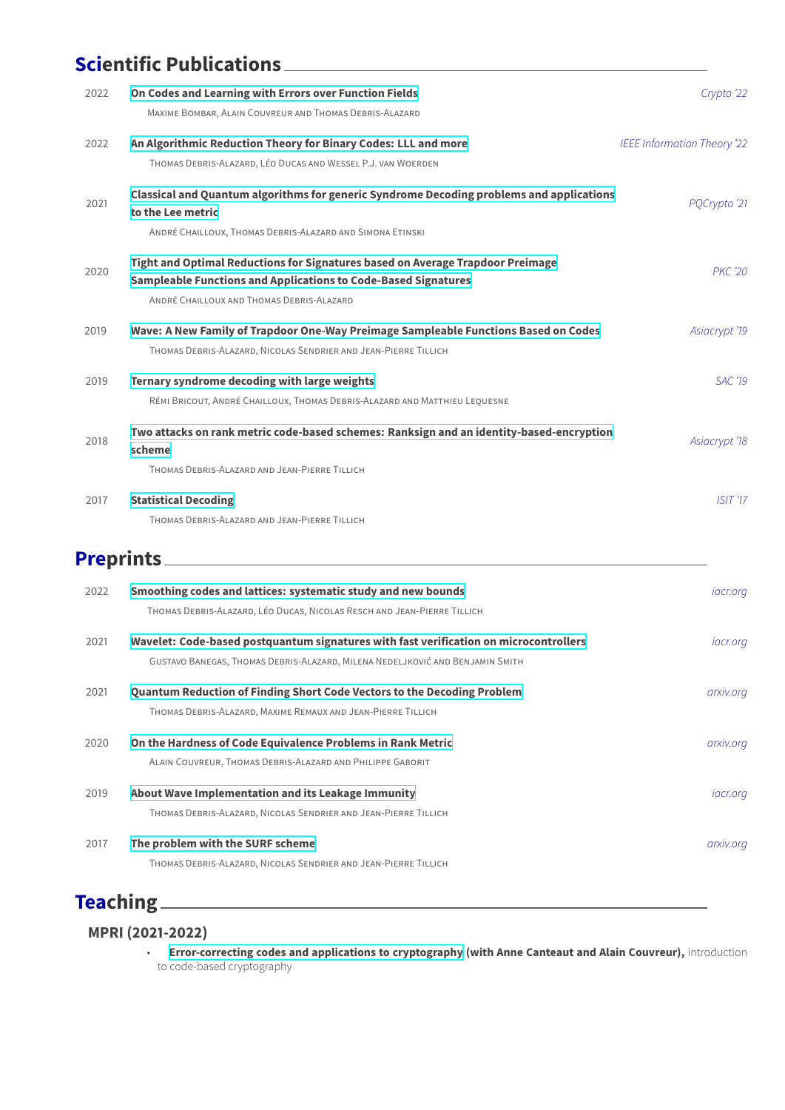#### **Scientific Publications**

| 2022             | On Codes and Learning with Errors over Function Fields                                                                                                  | Crypto '22                         |
|------------------|---------------------------------------------------------------------------------------------------------------------------------------------------------|------------------------------------|
|                  | MAXIME BOMBAR, ALAIN COUVREUR AND THOMAS DEBRIS-ALAZARD                                                                                                 |                                    |
| 2022             | An Algorithmic Reduction Theory for Binary Codes: LLL and more                                                                                          | <b>IEEE Information Theory '22</b> |
|                  | THOMAS DEBRIS-ALAZARD, LÉO DUCAS AND WESSEL P.J. VAN WOERDEN                                                                                            |                                    |
| 2021             | Classical and Quantum algorithms for generic Syndrome Decoding problems and applications<br>to the Lee metric                                           | PQCrypto'21                        |
|                  | ANDRÉ CHAILLOUX, THOMAS DEBRIS-ALAZARD AND SIMONA ETINSKI                                                                                               |                                    |
| 2020             | Tight and Optimal Reductions for Signatures based on Average Trapdoor Preimage<br><b>Sampleable Functions and Applications to Code-Based Signatures</b> | <b>PKC '20</b>                     |
|                  | ANDRÉ CHAILLOUX AND THOMAS DEBRIS-ALAZARD                                                                                                               |                                    |
| 2019             | Wave: A New Family of Trapdoor One-Way Preimage Sampleable Functions Based on Codes                                                                     | Asiacrypt '19                      |
|                  | THOMAS DEBRIS-ALAZARD, NICOLAS SENDRIER AND JEAN-PIERRE TILLICH                                                                                         |                                    |
| 2019             | Ternary syndrome decoding with large weights                                                                                                            | <b>SAC '19</b>                     |
|                  | RÉMI BRICOUT, ANDRÉ CHAILLOUX, THOMAS DEBRIS-ALAZARD AND MATTHIEU LEQUESNE                                                                              |                                    |
| 2018             | Two attacks on rank metric code-based schemes: Ranksign and an identity-based-encryption<br>scheme                                                      | Asiacrypt'18                       |
|                  | THOMAS DEBRIS-ALAZARD AND JEAN-PIERRE TILLICH                                                                                                           |                                    |
| 2017             | <b>Statistical Decoding</b>                                                                                                                             | ISIT'17                            |
|                  | THOMAS DEBRIS-ALAZARD AND JEAN-PIERRE TILLICH                                                                                                           |                                    |
| <b>Preprints</b> |                                                                                                                                                         |                                    |

| 2022 | Smoothing codes and lattices: systematic study and new bounds<br>THOMAS DEBRIS-ALAZARD, LÉO DUCAS, NICOLAS RESCH AND JEAN-PIERRE TILLICH                               | <i>iacr.org</i> |
|------|------------------------------------------------------------------------------------------------------------------------------------------------------------------------|-----------------|
| 2021 | Wavelet: Code-based postquantum signatures with fast verification on microcontrollers<br>GUSTAVO BANEGAS, THOMAS DEBRIS-ALAZARD, MILENA NEDELJKOVIĆ AND BENJAMIN SMITH | <i>iacr.org</i> |
| 2021 | <b>Quantum Reduction of Finding Short Code Vectors to the Decoding Problem</b><br>THOMAS DEBRIS-ALAZARD, MAXIME REMAUX AND JEAN-PIERRE TILLICH                         | arxiv.org       |
| 2020 | On the Hardness of Code Equivalence Problems in Rank Metric<br>ALAIN COUVREUR, THOMAS DEBRIS-ALAZARD AND PHILIPPE GABORIT                                              | arxiv.org       |
| 2019 | About Wave Implementation and its Leakage Immunity<br>THOMAS DEBRIS-ALAZARD, NICOLAS SENDRIER AND JEAN-PIERRE TILLICH                                                  | <i>iacr.org</i> |
| 2017 | The problem with the SURF scheme<br>THOMAS DEBRIS-ALAZARD, NICOLAS SENDRIER AND JEAN-PIERRE TILLICH                                                                    | arxiv.org       |

# **Teach[ing](https://arxiv.org/abs/1706.08065)**

### **MPRI (2021-2022)**

• **Error-correcting codes and applications to cryptography (with Anne Canteaut and Alain Couvreur),** introduction to code-based cryptography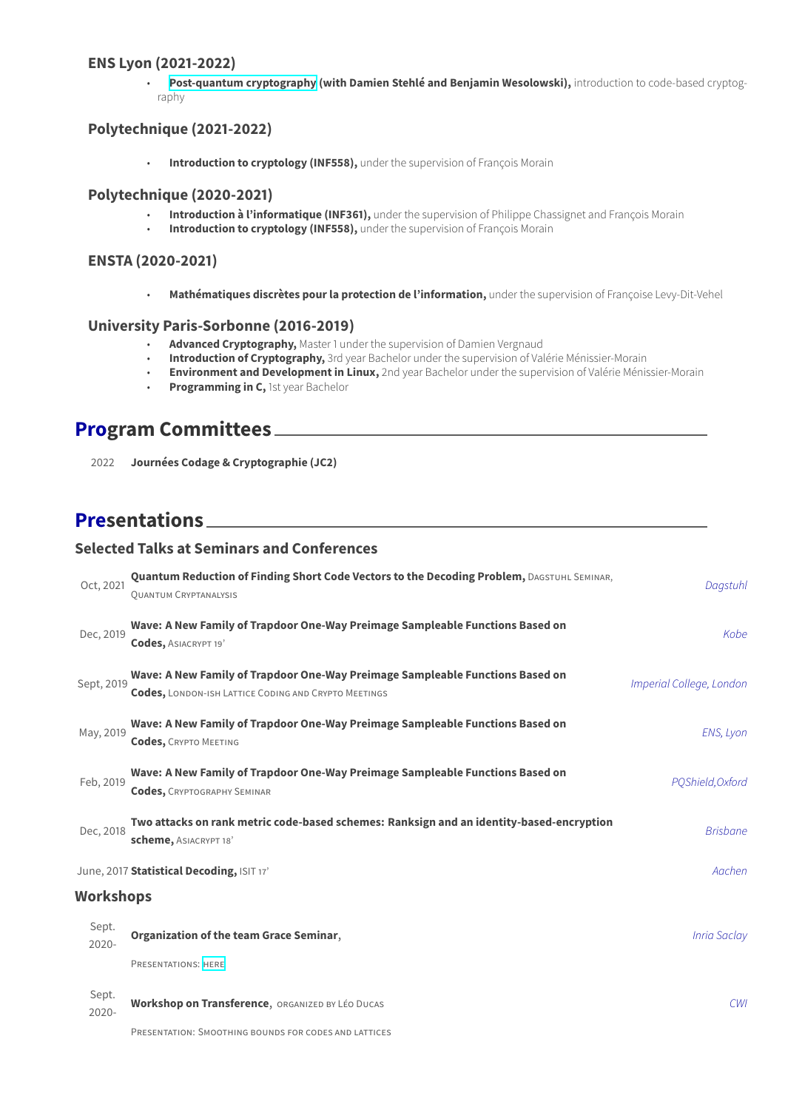#### **ENS Lyon (2021-2022)**

• **Post-quantum cryptography (with Damien Stehlé and Benjamin Wesolowski),** introduction to code-based cryptography

## **Polytechnique (2021-2022)**

**Introduction to cryptology (INF558)**, under the supervision of François Morain

#### **Polytechnique (2020-2021)**

- **Introduction à l'informatique (INF361),** under the supervision of Philippe Chassignet and François Morain
- **Introduction to cryptology (INF558),** under the supervision of François Morain

#### **ENSTA (2020-2021)**

• **Mathématiques discrètes pour la protection de l'information,** under the supervision of Françoise Levy-Dit-Vehel

#### **University Paris-Sorbonne (2016-2019)**

- **Advanced Cryptography,** Master 1 under the supervision of Damien Vergnaud<br>• **Introduction of Cryptography,** 3rd year Bachelor under the supervision of Val
- **Introduction of Cryptography,** 3rd year Bachelor under the supervision of Valérie Ménissier-Morain
- **Environment and Development in Linux,** 2nd year Bachelor under the supervision of Valérie Ménissier-Morain
- **Programming in C,** 1st year Bachelor

## **Program Committees**

2022 **Journées Codage & Cryptographie (JC2)**

## **Presentations**

### **Selected Talks at Seminars and Conferences**

| Oct, 2021         | <b>Quantum Reduction of Finding Short Code Vectors to the Decoding Problem, DAGSTUHL SEMINAR,</b><br><b>QUANTUM CRYPTANALYSIS</b>            | Dagstuhl                 |
|-------------------|----------------------------------------------------------------------------------------------------------------------------------------------|--------------------------|
| Dec, 2019         | Wave: A New Family of Trapdoor One-Way Preimage Sampleable Functions Based on<br><b>Codes, ASIACRYPT 19'</b>                                 | Kobe                     |
| Sept, 2019        | Wave: A New Family of Trapdoor One-Way Preimage Sampleable Functions Based on<br><b>Codes, LONDON-ISH LATTICE CODING AND CRYPTO MEETINGS</b> | Imperial College, London |
| May, 2019         | Wave: A New Family of Trapdoor One-Way Preimage Sampleable Functions Based on<br><b>Codes, CRYPTO MEETING</b>                                | ENS, Lyon                |
| Feb, 2019         | Wave: A New Family of Trapdoor One-Way Preimage Sampleable Functions Based on<br><b>Codes, CRYPTOGRAPHY SEMINAR</b>                          | POShield, Oxford         |
| Dec, 2018         | Two attacks on rank metric code-based schemes: Ranksign and an identity-based-encryption<br>scheme, ASIACRYPT 18'                            | <b>Brisbane</b>          |
|                   | June, 2017 Statistical Decoding, ISIT 17'                                                                                                    | Aachen                   |
| <b>Workshops</b>  |                                                                                                                                              |                          |
| Sept.<br>$2020 -$ | <b>Organization of the team Grace Seminar,</b>                                                                                               | <b>Inria Saclay</b>      |
|                   | PRESENTATIONS: HERE                                                                                                                          |                          |
| Sept.<br>$2020 -$ | <b>Workshop on Transference, ORGANIZED BY LÉO DUCAS</b>                                                                                      | CWI                      |
|                   | PRESENTATION: SMOOTHING BOUNDS FOR CODES AND LATTICES                                                                                        |                          |